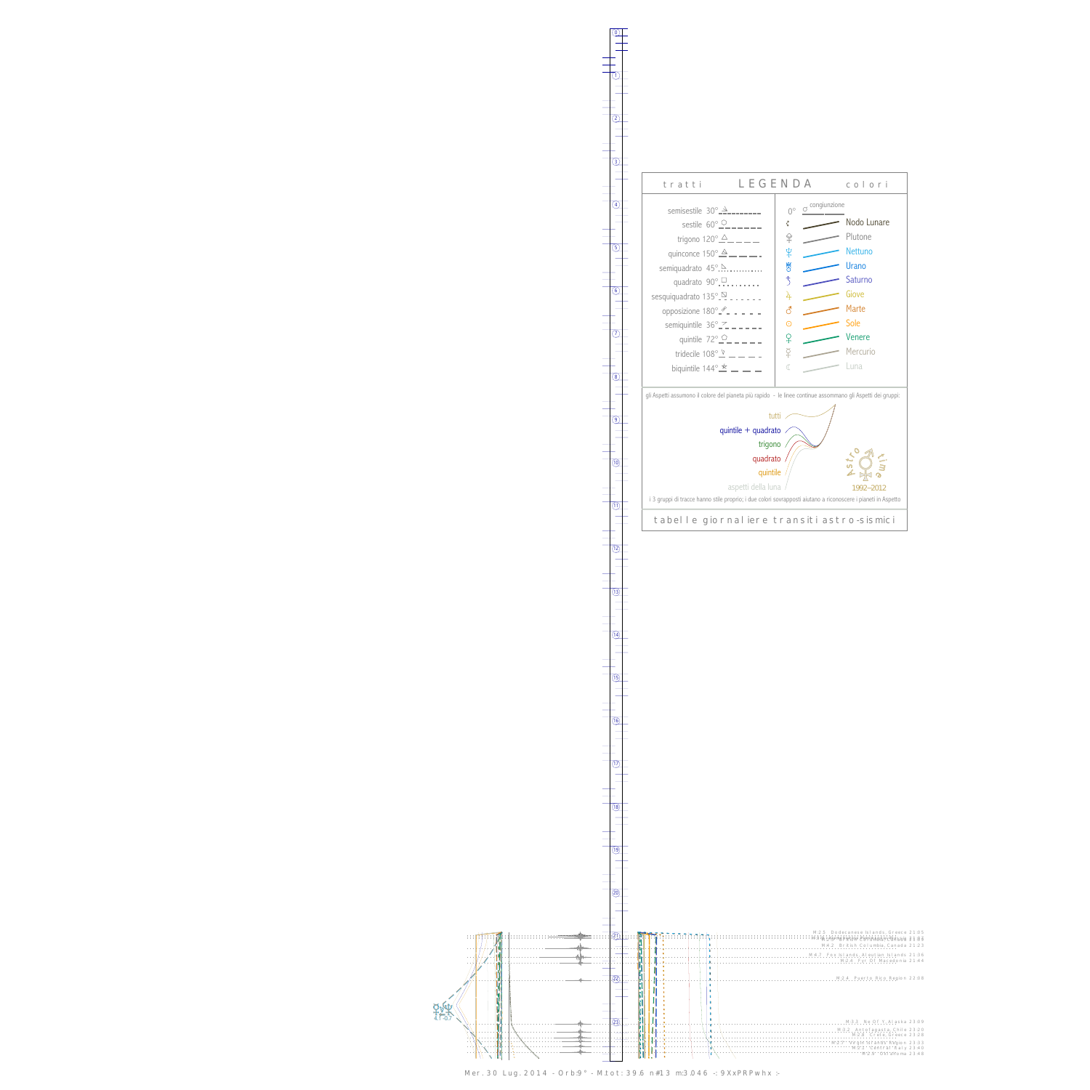0

1



13



Mer. 30 Lug. 2014 - Orb:9° - M.tot: 39.6 n#13 m:3.046 -: 9XxPRPwhx :-